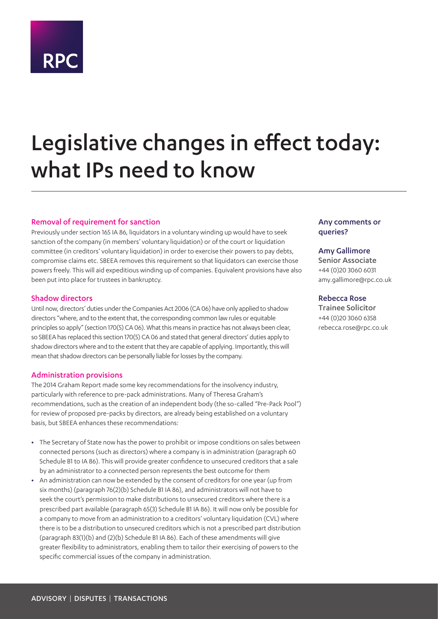# **RPC**

# Legislative changes in effect today: what IPs need to know

# Removal of requirement for sanction

Previously under section 165 IA 86, liquidators in a voluntary winding up would have to seek sanction of the company (in members' voluntary liquidation) or of the court or liquidation committee (in creditors' voluntary liquidation) in order to exercise their powers to pay debts, compromise claims etc. SBEEA removes this requirement so that liquidators can exercise those powers freely. This will aid expeditious winding up of companies. Equivalent provisions have also been put into place for trustees in bankruptcy.

# Shadow directors

Until now, directors' duties under the Companies Act 2006 (CA 06) have only applied to shadow directors "where, and to the extent that, the corresponding common law rules or equitable principles so apply" (section 170(5) CA 06). What this means in practice has not always been clear, so SBEEA has replaced this section 170(5) CA 06 and stated that general directors' duties apply to shadow directors where and to the extent that they are capable of applying. Importantly, this will mean that shadow directors can be personally liable for losses by the company.

### Administration provisions

The 2014 Graham Report made some key recommendations for the insolvency industry, particularly with reference to pre-pack administrations. Many of Theresa Graham's recommendations, such as the creation of an independent body (the so-called "Pre-Pack Pool") for review of proposed pre-packs by directors, are already being established on a voluntary basis, but SBEEA enhances these recommendations:

- **•** The Secretary of State now has the power to prohibit or impose conditions on sales between connected persons (such as directors) where a company is in administration (paragraph 60 Schedule B1 to IA 86). This will provide greater confidence to unsecured creditors that a sale by an administrator to a connected person represents the best outcome for them
- **•** An administration can now be extended by the consent of creditors for one year (up from six months) (paragraph 76(2)(b) Schedule B1 IA 86), and administrators will not have to seek the court's permission to make distributions to unsecured creditors where there is a prescribed part available (paragraph 65(3) Schedule B1 IA 86). It will now only be possible for a company to move from an administration to a creditors' voluntary liquidation (CVL) where there is to be a distribution to unsecured creditors which is not a prescribed part distribution (paragraph 83(1)(b) and (2)(b) Schedule B1 IA 86). Each of these amendments will give greater flexibility to administrators, enabling them to tailor their exercising of powers to the specific commercial issues of the company in administration.

# Any comments or queries?

# Amy Gallimore

Senior Associate +44 (0)20 3060 6031 amy.gallimore@rpc.co.uk

# Rebecca Rose

Trainee Solicitor +44 (0)20 3060 6358 rebecca.rose@rpc.co.uk